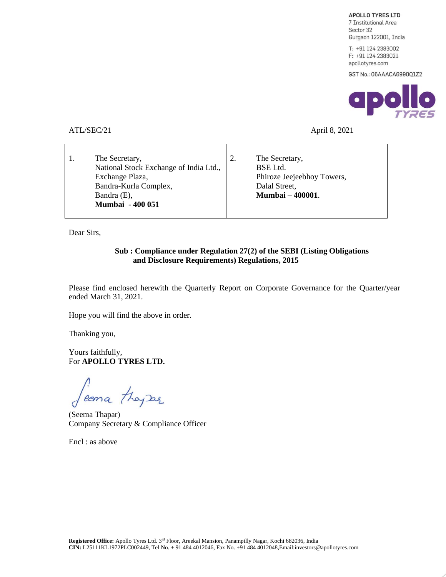**APOLLO TYRES LTD** 7 Institutional Area Sector 32 Gurgaon 122001, India

T: +91 124 2383002 F: +91 124 2383021 apollotyres.com

GST No.: 06AAACA699001Z2



## ATL/SEC/21 April 8, 2021

| The Secretary,                         |  |
|----------------------------------------|--|
| National Stock Exchange of India Ltd., |  |
| Exchange Plaza,                        |  |
| Bandra-Kurla Complex,                  |  |
| Bandra (E),                            |  |
| <b>Mumbai - 400 051</b>                |  |

2. The Secretary, BSE Ltd. Phiroze Jeejeebhoy Towers, Dalal Street, **Mumbai – 400001**.

Dear Sirs,

## **Sub : Compliance under Regulation 27(2) of the SEBI (Listing Obligations and Disclosure Requirements) Regulations, 2015**

Please find enclosed herewith the Quarterly Report on Corporate Governance for the Quarter/year ended March 31, 2021.

Hope you will find the above in order.

Thanking you,

Yours faithfully, For **APOLLO TYRES LTD.**

Peema they are

(Seema Thapar) Company Secretary & Compliance Officer

Encl : as above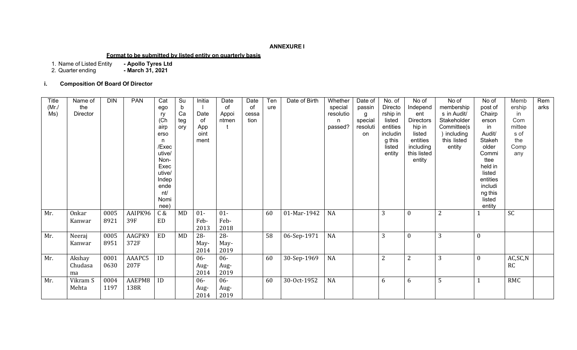#### **ANNEXURE I**

**Format to be submitted by listed entity on quarterly basis**

1. Name of Listed Entity **- Apollo Tyres Ltd**

2. Quarter ending **- March 31, 2021**

# **i. Composition Of Board Of Director**

| Title    | Name of  | <b>DIN</b> | <b>PAN</b> | Cat                        | Su  | Initia | Date   | Date  | Ten | Date of Birth | Whether   | Date of  | No. of   | No of            | No of          | No of            | Memb       | Rem  |
|----------|----------|------------|------------|----------------------------|-----|--------|--------|-------|-----|---------------|-----------|----------|----------|------------------|----------------|------------------|------------|------|
| $(Mr$ ./ | the      |            |            | ego                        | b   |        | of     | οf    | ure |               | special   | passin   | Directo  | Independ         | membership     | post of          | ership     | arks |
| Ms)      | Director |            |            | ry                         | Ca  | Date   | Appoi  | cessa |     |               | resolutio | g        | rship in | ent              | s in Audit/    | Chairp           | in         |      |
|          |          |            |            | (Ch)                       | teg | 0f     | ntmen  | tion  |     |               | n         | special  | listed   | <b>Directors</b> | Stakeholder    | erson            | Com        |      |
|          |          |            |            | airp                       | ory | App    |        |       |     |               | passed?   | resoluti | entities | hip in           | Committee(s)   | in               | mittee     |      |
|          |          |            |            | erso                       |     | oint   |        |       |     |               |           | on       | includin | listed           | fincluding     | Audit/           | s of       |      |
|          |          |            |            | n.                         |     | ment   |        |       |     |               |           |          | g this   | entities         | this listed    | Stakeh           | the        |      |
|          |          |            |            | /Exec                      |     |        |        |       |     |               |           |          | listed   | including        | entity         | older            | Comp       |      |
|          |          |            |            | utive/                     |     |        |        |       |     |               |           |          | entity   | this listed      |                | Commi            | any        |      |
|          |          |            |            | Non-<br>Exec               |     |        |        |       |     |               |           |          |          | entity           |                | ttee<br>held in  |            |      |
|          |          |            |            | utive/                     |     |        |        |       |     |               |           |          |          |                  |                | listed           |            |      |
|          |          |            |            | Indep                      |     |        |        |       |     |               |           |          |          |                  |                | entities         |            |      |
|          |          |            |            | ende                       |     |        |        |       |     |               |           |          |          |                  |                | includi          |            |      |
|          |          |            |            | nt/                        |     |        |        |       |     |               |           |          |          |                  |                | ng this          |            |      |
|          |          |            |            | Nomi                       |     |        |        |       |     |               |           |          |          |                  |                | listed           |            |      |
|          |          |            |            | nee)                       |     |        |        |       |     |               |           |          |          |                  |                | entity           |            |      |
| Mr.      | Onkar    | 0005       | AAIPK96    | C &                        | MD  | $01 -$ | $01-$  |       | 60  | 01-Mar-1942   | <b>NA</b> |          | 3        | $\mathbf{0}$     | $\overline{2}$ |                  | <b>SC</b>  |      |
|          | Kanwar   | 8921       | 39F        | <b>ED</b>                  |     | Feb-   | Feb-   |       |     |               |           |          |          |                  |                |                  |            |      |
|          |          |            |            |                            |     | 2013   | 2018   |       |     |               |           |          |          |                  |                |                  |            |      |
| Mr.      | Neeraj   | 0005       | AAGPK9     | $\mathop{\rm ED}\nolimits$ | MD  | 28-    | $28 -$ |       | 58  | 06-Sep-1971   | <b>NA</b> |          | 3        | $\mathbf{0}$     | 3              | $\boldsymbol{0}$ |            |      |
|          | Kanwar   | 8951       | 372F       |                            |     | May-   | May-   |       |     |               |           |          |          |                  |                |                  |            |      |
|          |          |            |            |                            |     | 2014   | 2019   |       |     |               |           |          |          |                  |                |                  |            |      |
| Mr.      | Akshay   | 0001       | AAAPC5     | ID                         |     | $06 -$ | $06 -$ |       | 60  | 30-Sep-1969   | <b>NA</b> |          | 2        | 2                | 3              | $\mathbf{0}$     | AC, SC, N  |      |
|          | Chudasa  | 0630       | 207F       |                            |     | Aug-   | Aug-   |       |     |               |           |          |          |                  |                |                  | RC         |      |
|          | ma       |            |            |                            |     | 2014   | 2019   |       |     |               |           |          |          |                  |                |                  |            |      |
| Mr.      | Vikram S | 0004       | AAEPM8     | ID                         |     | $06 -$ | $06 -$ |       | 60  | 30-Oct-1952   | <b>NA</b> |          | 6        | 6                | 5              |                  | <b>RMC</b> |      |
|          | Mehta    | 1197       | 138R       |                            |     | Aug-   | Aug-   |       |     |               |           |          |          |                  |                |                  |            |      |
|          |          |            |            |                            |     | 2014   | 2019   |       |     |               |           |          |          |                  |                |                  |            |      |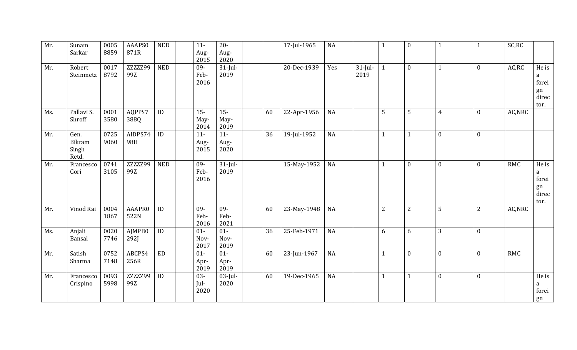| Mr. | Sunam                            | 0005         | <b>AAAPS0</b>  | <b>NED</b>                 | $11-$                  | $20 -$                 |    | 17-Jul-1965 | <b>NA</b> |                    | $\mathbf{1}$ | $\mathbf{0}$   | $\mathbf{1}$     | $\mathbf{1}$     | SC,RC      |                                            |
|-----|----------------------------------|--------------|----------------|----------------------------|------------------------|------------------------|----|-------------|-----------|--------------------|--------------|----------------|------------------|------------------|------------|--------------------------------------------|
|     | Sarkar                           | 8859         | 871R           |                            | Aug-<br>2015           | Aug-<br>2020           |    |             |           |                    |              |                |                  |                  |            |                                            |
| Mr. | Robert<br>Steinmetz              | 0017<br>8792 | ZZZZZ99<br>99Z | <b>NED</b>                 | 09-<br>Feb-<br>2016    | $31$ -Jul-<br>2019     |    | 20-Dec-1939 | Yes       | $31$ -Jul-<br>2019 | $\mathbf{1}$ | $\mathbf{0}$   | $\mathbf{1}$     | $\mathbf{0}$     | AC, RC     | He is<br>a<br>forei<br>gn<br>direc<br>tor. |
| Ms. | Pallavi S.<br>Shroff             | 0001<br>3580 | AQPPS7<br>388Q | ID                         | $15-$<br>May-<br>2014  | $15 -$<br>May-<br>2019 | 60 | 22-Apr-1956 | <b>NA</b> |                    | 5            | 5              | $\overline{4}$   | $\mathbf{0}$     | AC, NRC    |                                            |
| Mr. | Gen.<br>Bikram<br>Singh<br>Retd. | 0725<br>9060 | AIDPS74<br>98H | ID                         | $11-$<br>Aug-<br>2015  | $11-$<br>Aug-<br>2020  | 36 | 19-Jul-1952 | NA        |                    | $\mathbf{1}$ | $\mathbf{1}$   | $\boldsymbol{0}$ | $\boldsymbol{0}$ |            |                                            |
| Mr. | Francesco<br>Gori                | 0741<br>3105 | ZZZZZ99<br>99Z | <b>NED</b>                 | 09-<br>Feb-<br>2016    | $31$ -Jul-<br>2019     |    | 15-May-1952 | <b>NA</b> |                    | $\mathbf{1}$ | $\mathbf{0}$   | $\mathbf{0}$     | $\mathbf{0}$     | <b>RMC</b> | He is<br>a<br>forei<br>gn<br>direc<br>tor. |
| Mr. | Vinod Rai                        | 0004<br>1867 | AAAPR0<br>522N | $\overline{ID}$            | 09-<br>Feb-<br>2016    | $09 -$<br>Feb-<br>2021 | 60 | 23-May-1948 | <b>NA</b> |                    | $\sqrt{2}$   | $\overline{2}$ | 5                | $\mathbf{2}$     | AC, NRC    |                                            |
| Ms. | Anjali<br>Bansal                 | 0020<br>7746 | AJMPB0<br>292J | ID                         | $01-$<br>Nov-<br>2017  | $01-$<br>Nov-<br>2019  | 36 | 25-Feb-1971 | <b>NA</b> |                    | 6            | 6              | 3                | $\boldsymbol{0}$ |            |                                            |
| Mr. | Satish<br>Sharma                 | 0752<br>7148 | ABCPS4<br>256R | $\mathop{\rm ED}\nolimits$ | $01 -$<br>Apr-<br>2019 | $01-$<br>Apr-<br>2019  | 60 | 23-Jun-1967 | <b>NA</b> |                    | $\mathbf{1}$ | $\mathbf{0}$   | $\boldsymbol{0}$ | $\mathbf{0}$     | <b>RMC</b> |                                            |
| Mr. | Francesco<br>Crispino            | 0093<br>5998 | ZZZZZ99<br>99Z | ID                         | $03 -$<br>Jul-<br>2020 | $03$ -Jul-<br>2020     | 60 | 19-Dec-1965 | NA        |                    | $\mathbf{1}$ | $\mathbf{1}$   | $\mathbf{0}$     | $\boldsymbol{0}$ |            | He is<br>a<br>forei<br>gn                  |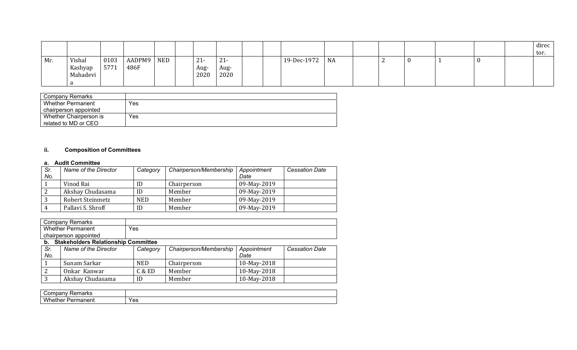|     |          |      |        |     |        |               |  |             |           |  |     |  | direc |
|-----|----------|------|--------|-----|--------|---------------|--|-------------|-----------|--|-----|--|-------|
|     |          |      |        |     |        |               |  |             |           |  |     |  | tor.  |
| Mr. | Vishal   | 0103 | AADPM9 | NED | $21 -$ | ົດ 1<br>-41 - |  | 19-Dec-1972 | <b>NA</b> |  | - U |  |       |
|     | Kashyap  | 5771 | 486F   |     | Aug-   | Aug-          |  |             |           |  |     |  |       |
|     | Mahadevi |      |        |     | 2020   | 2020          |  |             |           |  |     |  |       |
|     |          |      |        |     |        |               |  |             |           |  |     |  |       |

| Company Remarks          |     |
|--------------------------|-----|
| <b>Whether Permanent</b> | Yes |
| chairperson appointed    |     |
| Whether Chairperson is   | Yes |
| related to MD or CEO     |     |

# **ii. Composition of Committees**

#### **a. Audit Committee**

| Sr.<br>No. | Name of the Director | Category   | Chairperson/Membership | Appointment<br>Date | <b>Cessation Date</b> |
|------------|----------------------|------------|------------------------|---------------------|-----------------------|
|            | Vinod Rai            | ID         | Chairperson            | 09-May-2019         |                       |
|            | Akshay Chudasama     | ID         | Member                 | 09-May-2019         |                       |
|            | Robert Steinmetz     | <b>NED</b> | Member                 | 09-May-2019         |                       |
|            | Pallavi S. Shroff    | ID         | Member                 | 09-May-2019         |                       |

|                          | <b>Company Remarks</b>                 |            |                        |             |                       |  |  |  |  |  |
|--------------------------|----------------------------------------|------------|------------------------|-------------|-----------------------|--|--|--|--|--|
| <b>Whether Permanent</b> |                                        | Yes        |                        |             |                       |  |  |  |  |  |
|                          | chairperson appointed                  |            |                        |             |                       |  |  |  |  |  |
|                          | b. Stakeholders Relationship Committee |            |                        |             |                       |  |  |  |  |  |
| Sr.                      | Name of the Director                   | Category   | Chairperson/Membership | Appointment | <b>Cessation Date</b> |  |  |  |  |  |
| No.                      |                                        |            |                        | Date        |                       |  |  |  |  |  |
|                          | Sunam Sarkar                           | <b>NED</b> | Chairperson            | 10-May-2018 |                       |  |  |  |  |  |
| $\overline{2}$           | Onkar Kanwar                           | C & E D    | Member                 | 10-May-2018 |                       |  |  |  |  |  |
| 3                        | Akshay Chudasama                       | ID         | Member                 | 10-May-2018 |                       |  |  |  |  |  |

| - - -<br>۱۵۱ N.                                |                  |
|------------------------------------------------|------------------|
| 1.11<br>-----<br>w<br>----<br>nei<br>⊶<br>пенг | <b>Vec</b><br>౿౿ |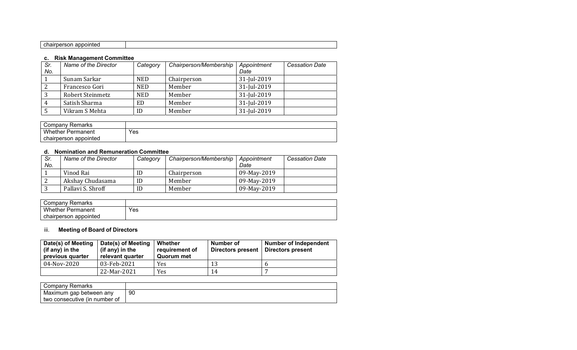# **c. Risk Management Committee**

| Sr.<br>No. | Name of the Director    | Category   | Chairperson/Membership | Appointment<br>Date | <b>Cessation Date</b> |
|------------|-------------------------|------------|------------------------|---------------------|-----------------------|
|            |                         |            |                        |                     |                       |
|            | Sunam Sarkar            | NED.       | Chairperson            | 31-Jul-2019         |                       |
|            | Francesco Gori          | <b>NED</b> | Member                 | 31-Jul-2019         |                       |
|            | <b>Robert Steinmetz</b> | <b>NED</b> | Member                 | 31-Jul-2019         |                       |
|            | Satish Sharma           | ED         | Member                 | 31-Jul-2019         |                       |
|            | Vikram S Mehta          | ID         | Member                 | 31-Jul-2019         |                       |

| Remarks<br>Company '     |     |
|--------------------------|-----|
| <b>Whether Permanent</b> | Yes |
| chairperson appointed    |     |

#### **d. Nomination and Remuneration Committee**

| Sr.<br>No. | Name of the Director | Category | Chairperson/Membership | Appointment<br>Date | <b>Cessation Date</b> |
|------------|----------------------|----------|------------------------|---------------------|-----------------------|
|            | Vinod Rai            | ID       | Chairperson            | 09-May-2019         |                       |
| -2         | Akshay Chudasama     | ID       | Member                 | 09-May-2019         |                       |
|            | Pallavi S. Shroff    | ID       | Member                 | 09-May-2019         |                       |

| Compan∨ Remarks          |     |
|--------------------------|-----|
| <b>Whether Permanent</b> | Yes |
| chairperson appointed    |     |

# iii. **Meeting of Board of Directors**

| Date(s) of Meeting<br>(if any) in the<br>previous quarter | Date(s) of Meeting<br>(if any) in the<br>relevant quarter | Whether<br>requirement of<br>Quorum met | Number of<br>Directors present | <b>Number of Independent</b><br><b>Directors present</b> |
|-----------------------------------------------------------|-----------------------------------------------------------|-----------------------------------------|--------------------------------|----------------------------------------------------------|
| $04 - Nov-2020$                                           | 03-Feb-2021                                               | Yes                                     | 13                             |                                                          |
|                                                           | 22-Mar-2021                                               | Yes                                     | 14                             |                                                          |

| Company Remarks               |    |
|-------------------------------|----|
| Maximum gap between any       | 90 |
| two consecutive (in number of |    |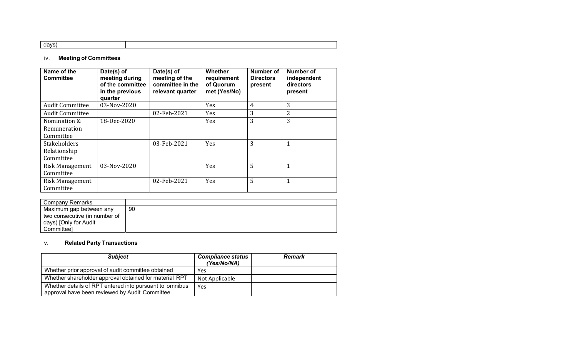| davs |  |
|------|--|

# iv. **Meeting of Committees**

| Name of the<br><b>Committee</b> | Date(s) of<br>meeting during<br>of the committee<br>in the previous<br>quarter | Date(s) of<br>meeting of the<br>committee in the<br>relevant quarter | Whether<br>requirement<br>of Quorum<br>met (Yes/No) | Number of<br><b>Directors</b><br>present | Number of<br>independent<br>directors<br>present |
|---------------------------------|--------------------------------------------------------------------------------|----------------------------------------------------------------------|-----------------------------------------------------|------------------------------------------|--------------------------------------------------|
| <b>Audit Committee</b>          | 03-Nov-2020                                                                    |                                                                      | Yes                                                 | 4                                        | 3                                                |
| <b>Audit Committee</b>          |                                                                                | 02-Feb-2021                                                          | Yes                                                 | 3                                        | $\overline{2}$                                   |
| Nomination &                    | 18-Dec-2020                                                                    |                                                                      | <b>Yes</b>                                          | 3                                        | 3                                                |
| Remuneration                    |                                                                                |                                                                      |                                                     |                                          |                                                  |
| Committee                       |                                                                                |                                                                      |                                                     |                                          |                                                  |
| <b>Stakeholders</b>             |                                                                                | 03-Feb-2021                                                          | Yes                                                 | 3                                        | $\mathbf{1}$                                     |
| Relationship                    |                                                                                |                                                                      |                                                     |                                          |                                                  |
| Committee                       |                                                                                |                                                                      |                                                     |                                          |                                                  |
| Risk Management                 | 03-Nov-2020                                                                    |                                                                      | Yes                                                 | 5                                        | 1                                                |
| Committee                       |                                                                                |                                                                      |                                                     |                                          |                                                  |
| Risk Management                 |                                                                                | 02-Feb-2021                                                          | Yes                                                 | 5                                        | 1                                                |
| Committee                       |                                                                                |                                                                      |                                                     |                                          |                                                  |

| Company Remarks               |    |
|-------------------------------|----|
| Maximum gap between any       | 90 |
| two consecutive (in number of |    |
| days) [Only for Audit         |    |
| Committee]                    |    |

#### v.**Related Party Transactions**

| <b>Subject</b>                                                                                            | <b>Compliance status</b><br>(Yes/No/NA) | <b>Remark</b> |
|-----------------------------------------------------------------------------------------------------------|-----------------------------------------|---------------|
| Whether prior approval of audit committee obtained                                                        | Yes                                     |               |
| Whether shareholder approval obtained for material RPT                                                    | Not Applicable                          |               |
| Whether details of RPT entered into pursuant to omnibus<br>approval have been reviewed by Audit Committee | Yes                                     |               |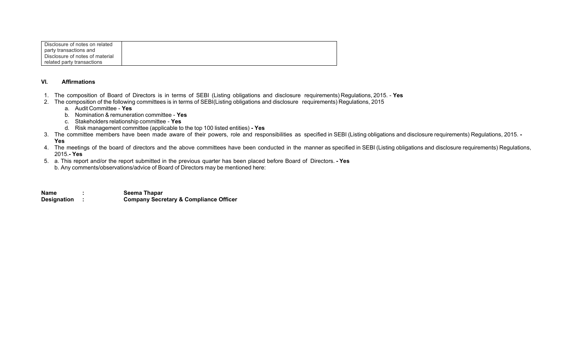| Disclosure of notes on related  |  |
|---------------------------------|--|
| party transactions and          |  |
| Disclosure of notes of material |  |
| related party transactions      |  |

## **VI. Affirmations**

- 1. The composition of Board of Directors is in terms of SEBI (Listing obligations and disclosure requirements) Regulations, 2015. **Yes**
- 2. The composition of the following committees is in terms of SEBI(Listing obligations and disclosure requirements) Regulations, 2015
	- a. Audit Committee **Yes**
	- b. Nomination & remuneration committee **Yes**
	- c. Stakeholders relationship committee **Yes**
	- d. Risk management committee (applicable to the top 100 listed entities)  **Yes**
- 3. The committee members have been made aware of their powers, role and responsibilities as specified in SEBI (Listing obligations and disclosure requirements) Regulations, 2015.  **Yes**
- 4. The meetings of the board of directors and the above committees have been conducted in the manner as specified in SEBI (Listing obligations and disclosure requirements) Regulations, 2015.**- Yes**
- 5. a. This report and/or the report submitted in the previous quarter has been placed before Board of Directors.  **Yes** b. Any comments/observations/advice of Board of Directors may be mentioned here:

**Name : Seema Thapar<br>
Designation : Company Secrets Company Secretary & Compliance Officer**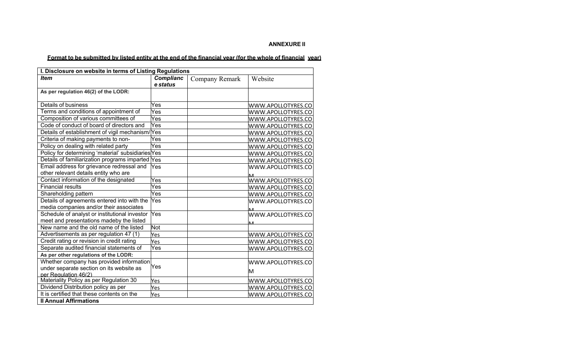#### **ANNEXURE II**

# **Format to be submitted by listed entity at the end of the financial year (for the whole of financial year)**

| I. Disclosure on website in terms of Listing Regulations |                  |                |                    |
|----------------------------------------------------------|------------------|----------------|--------------------|
| <b>Item</b>                                              | <b>Complianc</b> | Company Remark | Website            |
|                                                          | e status         |                |                    |
| As per regulation 46(2) of the LODR:                     |                  |                |                    |
|                                                          |                  |                |                    |
| Details of business                                      | Yes              |                | WWW.APOLLOTYRES.CO |
| Terms and conditions of appointment of                   | Yes              |                | WWW.APOLLOTYRES.CO |
| Composition of various committees of                     | Yes              |                | WWW.APOLLOTYRES.CO |
| Code of conduct of board of directors and                | Yes              |                | WWW.APOLLOTYRES.CO |
| Details of establishment of vigil mechanism/             | Yes              |                | WWW.APOLLOTYRES.CO |
| Criteria of making payments to non-                      | Yes              |                | WWW.APOLLOTYRES.CO |
| Policy on dealing with related party                     | Yes              |                | WWW.APOLLOTYRES.CO |
| Policy for determining 'material' subsidiaries Yes       |                  |                | WWW.APOLLOTYRES.CO |
| Details of familiarization programs imparted             | Yes              |                | WWW.APOLLOTYRES.CO |
| Email address for grievance redressal and                | Yes              |                | WWW.APOLLOTYRES.CO |
| other relevant details entity who are                    |                  |                |                    |
| Contact information of the designated                    | Yes              |                | WWW.APOLLOTYRES.CO |
| <b>Financial results</b>                                 | Yes              |                | WWW.APOLLOTYRES.CO |
| Shareholding pattern                                     | Yes              |                | WWW.APOLLOTYRES.CO |
| Details of agreements entered into with the              | Yes              |                | WWW.APOLLOTYRES.CO |
| media companies and/or their associates                  |                  |                |                    |
| Schedule of analyst or institutional investor            | Yes              |                | WWW.APOLLOTYRES.CO |
| meet and presentations madeby the listed                 |                  |                |                    |
| New name and the old name of the listed                  | <b>Not</b>       |                |                    |
| Advertisements as per regulation 47 (1)                  | Yes              |                | WWW.APOLLOTYRES.CO |
| Credit rating or revision in credit rating               | Yes              |                | WWW.APOLLOTYRES.CO |
| Separate audited financial statements of                 | Yes              |                | WWW.APOLLOTYRES.CO |
| As per other regulations of the LODR:                    |                  |                |                    |
| Whether company has provided information                 |                  |                | WWW.APOLLOTYRES.CO |
| under separate section on its website as                 | Yes              |                |                    |
| per Regulation 46(2)                                     |                  |                | M                  |
| Materiality Policy as per Regulation 30                  | Yes              |                | WWW.APOLLOTYRES.CO |
| Dividend Distribution policy as per                      | Yes              |                | WWW.APOLLOTYRES.CO |
| It is certified that these contents on the               | Yes              |                | WWW.APOLLOTYRES.CO |
| <b>Il Annual Affirmations</b>                            |                  |                |                    |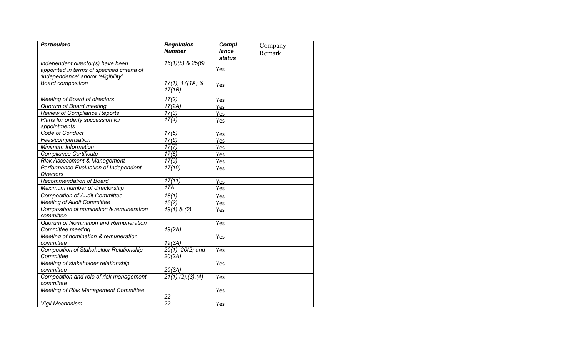| <b>Particulars</b>                                                                 | <b>Regulation</b>            | Compl  | Company |
|------------------------------------------------------------------------------------|------------------------------|--------|---------|
|                                                                                    | <b>Number</b>                | iance  | Remark  |
|                                                                                    |                              | status |         |
| Independent director(s) have been                                                  | $16(1)(b)$ & $25(6)$         | Yes    |         |
| appointed in terms of specified criteria of<br>'independence' and/or 'eligibility' |                              |        |         |
| <b>Board composition</b>                                                           | $17(1), 17(1A)$ &            |        |         |
|                                                                                    | 17(1B)                       | Yes    |         |
| <b>Meeting of Board of directors</b>                                               | 17(2)                        | Yes    |         |
| Quorum of Board meeting                                                            | 17(2A)                       | Yes    |         |
| <b>Review of Compliance Reports</b>                                                | 17(3)                        | Yes    |         |
| Plans for orderly succession for                                                   | 17(4)                        | Yes    |         |
| appointments                                                                       |                              |        |         |
| Code of Conduct                                                                    | 17(5)                        | Yes    |         |
| Fees/compensation                                                                  | 17(6)                        | Yes    |         |
| Minimum Information                                                                | 17(7)                        | Yes    |         |
| <b>Compliance Certificate</b>                                                      | 17(8)                        | Yes    |         |
| <b>Risk Assessment &amp; Management</b>                                            | 17(9)                        | Yes    |         |
| Performance Evaluation of Independent                                              | 17(10)                       | Yes    |         |
| <b>Directors</b>                                                                   |                              |        |         |
| Recommendation of Board                                                            | 17(11)                       | Yes    |         |
| Maximum number of directorship                                                     | 17A                          | Yes    |         |
| <b>Composition of Audit Committee</b>                                              | 18(1)                        | Yes    |         |
| Meeting of Audit Committee                                                         | 18(2)                        | Yes    |         |
| Composition of nomination & remuneration<br>committee                              | $19(1)$ & (2)                | Yes    |         |
| Quorum of Nomination and Remuneration<br>Committee meeting                         | 19(2A)                       | Yes    |         |
| Meeting of nomination & remuneration<br>committee                                  | 19(3A)                       | Yes    |         |
| <b>Composition of Stakeholder Relationship</b><br>Committee                        | $20(1), 20(2)$ and<br>20(2A) | Yes    |         |
| Meeting of stakeholder relationship<br>committee                                   | 20(3A)                       | Yes    |         |
| Composition and role of risk management<br>committee                               | 21(1), (2), (3), (4)         | Yes    |         |
| <b>Meeting of Risk Management Committee</b>                                        | 22                           | Yes    |         |
| <b>Vigil Mechanism</b>                                                             | $\overline{22}$              | Yes    |         |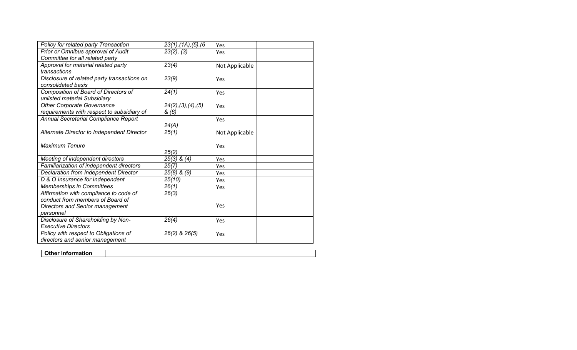| Policy for related party Transaction        | $23(1)$ , $(1A)$ , $(5)$ , $(6)$ | Yes            |
|---------------------------------------------|----------------------------------|----------------|
| Prior or Omnibus approval of Audit          | 23(2), (3)                       | Yes            |
| Committee for all related party             |                                  |                |
| Approval for material related party         | 23(4)                            | Not Applicable |
| transactions                                |                                  |                |
| Disclosure of related party transactions on | 23(9)                            | Yes            |
| consolidated basis                          |                                  |                |
| Composition of Board of Directors of        | 24(1)                            | Yes            |
| unlisted material Subsidiary                |                                  |                |
| <b>Other Corporate Governance</b>           | 24(2), (3), (4), (5)             | Yes            |
| requirements with respect to subsidiary of  | &(6)                             |                |
| Annual Secretarial Compliance Report        |                                  | Yes            |
|                                             | 24(A)                            |                |
| Alternate Director to Independent Director  | 25(1)                            | Not Applicable |
|                                             |                                  |                |
| <b>Maximum Tenure</b>                       |                                  | Yes            |
|                                             | 25(2)                            |                |
| Meeting of independent directors            | $25(3)$ & $(4)$                  | Yes            |
| Familiarization of independent directors    | 25(7)                            | Yes            |
| Declaration from Independent Director       | $25(8)$ & $(9)$                  | Yes            |
| D & O Insurance for Independent             | 25(10)                           | Yes            |
| Memberships in Committees                   | 26(1)                            | Yes            |
| Affirmation with compliance to code of      | 26(3)                            |                |
| conduct from members of Board of            |                                  |                |
| <b>Directors and Senior management</b>      |                                  | Yes            |
| personnel                                   |                                  |                |
| Disclosure of Shareholding by Non-          | 26(4)                            | Yes            |
| <b>Executive Directors</b>                  |                                  |                |
| Policy with respect to Obligations of       | 26(2) & 26(5)                    | Yes            |
| directors and senior management             |                                  |                |

| า+hor<br>--<br>ווטו.<br>$- \cdots -$ |  |
|--------------------------------------|--|
|                                      |  |